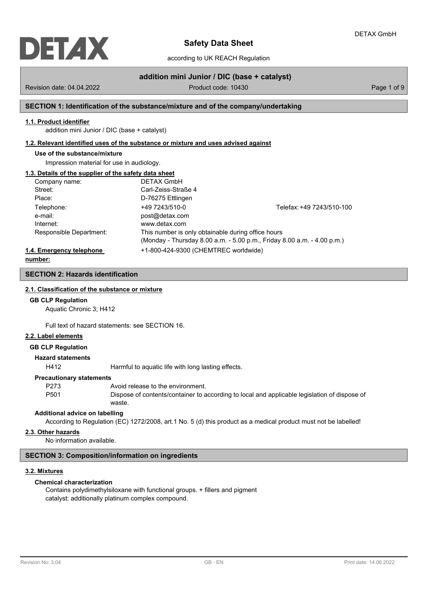

according to UK REACH Regulation

# **addition mini Junior / DIC (base + catalyst)**

Revision date: 04.04.2022 **Product code: 10430** Product code: 10430 Page 1 of 9

## **SECTION 1: Identification of the substance/mixture and of the company/undertaking**

#### **1.1. Product identifier**

addition mini Junior / DIC (base + catalyst)

#### **1.2. Relevant identified uses of the substance or mixture and uses advised against**

### **Use of the substance/mixture**

Impression material for use in audiology.

### **1.3. Details of the supplier of the safety data sheet**

| Company name:            | <b>DETAX GmbH</b>                                  |                                                                         |
|--------------------------|----------------------------------------------------|-------------------------------------------------------------------------|
| Street:                  | Carl-Zeiss-Straße 4                                |                                                                         |
| Place:                   | D-76275 Ettlingen                                  |                                                                         |
| Telephone:               | +49 7243/510-0                                     | Telefax: +49 7243/510-100                                               |
| e-mail:                  | post@detax.com                                     |                                                                         |
| Internet:                | www.detax.com                                      |                                                                         |
| Responsible Department:  | This number is only obtainable during office hours |                                                                         |
|                          |                                                    | (Monday - Thursday 8.00 a.m. - 5.00 p.m., Friday 8.00 a.m. - 4.00 p.m.) |
| 1.4. Emergency telephone | +1-800-424-9300 (CHEMTREC worldwide)               |                                                                         |

# **number:**

# **SECTION 2: Hazards identification**

# **2.1. Classification of the substance or mixture**

### **GB CLP Regulation**

Aquatic Chronic 3; H412

Full text of hazard statements: see SECTION 16.

### **2.2. Label elements**

#### **GB CLP Regulation**

### **Hazard statements**

H412 Harmful to aquatic life with long lasting effects.

#### **Precautionary statements**

P273 Avoid release to the environment.

P501 Dispose of contents/container to according to local and applicable legislation of dispose of waste.

### **Additional advice on labelling**

According to Regulation (EC) 1272/2008, art.1 No. 5 (d) this product as a medical product must not be labelled!

### **2.3. Other hazards**

No information available.

## **SECTION 3: Composition/information on ingredients**

# **3.2. Mixtures**

## **Chemical characterization**

Contains polydimethylsiloxane with functional groups. + fillers and pigment catalyst: additionally platinum complex compound.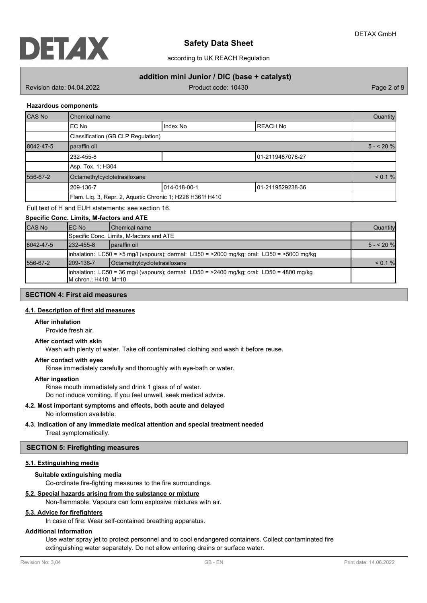

according to UK REACH Regulation

# **addition mini Junior / DIC (base + catalyst)**

Revision date: 04.04.2022 **Product code: 10430** Product code: 10430 Page 2 of 9

#### **Hazardous components**

| CAS No    | Chemical name                                             |                             |                  | Quantity  |  |  |
|-----------|-----------------------------------------------------------|-----------------------------|------------------|-----------|--|--|
|           | EC No                                                     | Index No<br><b>REACH No</b> |                  |           |  |  |
|           | Classification (GB CLP Regulation)                        |                             |                  |           |  |  |
| 8042-47-5 | paraffin oil                                              |                             |                  | $5 - 20%$ |  |  |
|           | 232-455-8                                                 | 01-2119487078-27            |                  |           |  |  |
|           | Asp. Tox. 1: H304                                         |                             |                  |           |  |  |
| 556-67-2  | Octamethylcyclotetrasiloxane                              |                             |                  |           |  |  |
|           | 209-136-7                                                 | 014-018-00-1                | 01-2119529238-36 |           |  |  |
|           | Flam. Liq. 3, Repr. 2, Aquatic Chronic 1; H226 H361f H410 |                             |                  |           |  |  |

Full text of H and EUH statements: see section 16.

#### **Specific Conc. Limits, M-factors and ATE**

| <b>CAS No</b> | IEC No                                                                                                                      | <b>I</b> Chemical name                                                                               | Quantity   |  |
|---------------|-----------------------------------------------------------------------------------------------------------------------------|------------------------------------------------------------------------------------------------------|------------|--|
|               | Specific Conc. Limits, M-factors and ATE                                                                                    |                                                                                                      |            |  |
| 8042-47-5     | $1232 - 455 - 8$                                                                                                            | Iparaffin oil                                                                                        | $5 - 20$ % |  |
|               |                                                                                                                             | $\lambda$ inhalation: LC50 = >5 mg/l (vapours); dermal: LD50 = >2000 mg/kg; oral: LD50 = >5000 mg/kg |            |  |
| 556-67-2      | 1209-136-7                                                                                                                  | <i><b>Octamethylcyclotetrasiloxane</b></i>                                                           | < 0.1 %    |  |
|               | $\lambda$ inhalation: LC50 = 36 mg/l (vapours); dermal: LD50 = >2400 mg/kg; oral: LD50 = 4800 mg/kg<br>M chron : H410: M=10 |                                                                                                      |            |  |

### **SECTION 4: First aid measures**

#### **4.1. Description of first aid measures**

#### **After inhalation**

Provide fresh air.

#### **After contact with skin**

Wash with plenty of water. Take off contaminated clothing and wash it before reuse.

#### **After contact with eyes**

Rinse immediately carefully and thoroughly with eye-bath or water.

#### **After ingestion**

Rinse mouth immediately and drink 1 glass of of water. Do not induce vomiting. If you feel unwell, seek medical advice.

### **4.2. Most important symptoms and effects, both acute and delayed**

No information available.

### **4.3. Indication of any immediate medical attention and special treatment needed**

Treat symptomatically.

### **SECTION 5: Firefighting measures**

### **5.1. Extinguishing media**

### **Suitable extinguishing media**

Co-ordinate fire-fighting measures to the fire surroundings.

### **5.2. Special hazards arising from the substance or mixture**

Non-flammable. Vapours can form explosive mixtures with air.

#### **5.3. Advice for firefighters**

In case of fire: Wear self-contained breathing apparatus.

### **Additional information**

Use water spray jet to protect personnel and to cool endangered containers. Collect contaminated fire extinguishing water separately. Do not allow entering drains or surface water.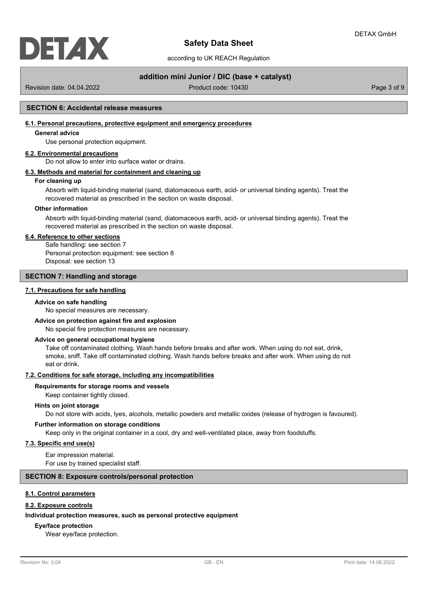

according to UK REACH Regulation

### **addition mini Junior / DIC (base + catalyst)**

Revision date: 04.04.2022 **Product code: 10430** Product code: 10430 Page 3 of 9

### **SECTION 6: Accidental release measures**

#### **6.1. Personal precautions, protective equipment and emergency procedures**

#### **General advice**

Use personal protection equipment.

#### **6.2. Environmental precautions**

Do not allow to enter into surface water or drains.

### **6.3. Methods and material for containment and cleaning up**

### **For cleaning up**

Absorb with liquid-binding material (sand, diatomaceous earth, acid- or universal binding agents). Treat the recovered material as prescribed in the section on waste disposal.

#### **Other information**

Absorb with liquid-binding material (sand, diatomaceous earth, acid- or universal binding agents). Treat the recovered material as prescribed in the section on waste disposal.

### **6.4. Reference to other sections**

Safe handling: see section 7 Personal protection equipment: see section 8 Disposal: see section 13

#### **SECTION 7: Handling and storage**

#### **7.1. Precautions for safe handling**

#### **Advice on safe handling**

No special measures are necessary.

#### **Advice on protection against fire and explosion**

No special fire protection measures are necessary.

#### **Advice on general occupational hygiene**

Take off contaminated clothing. Wash hands before breaks and after work. When using do not eat, drink, smoke, sniff. Take off contaminated clothing. Wash hands before breaks and after work. When using do not eat or drink.

#### **7.2. Conditions for safe storage, including any incompatibilities**

#### **Requirements for storage rooms and vessels**

Keep container tightly closed.

#### **Hints on joint storage**

Do not store with acids, lyes, alcohols, metallic powders and metallic oxides (release of hydrogen is favoured).

#### **Further information on storage conditions**

Keep only in the original container in a cool, dry and well-ventilated place, away from foodstuffs.

### **7.3. Specific end use(s)**

Ear impression material. For use by trained specialist staff.

#### **SECTION 8: Exposure controls/personal protection**

#### **8.1. Control parameters**

#### **8.2. Exposure controls**

#### **Individual protection measures, such as personal protective equipment**

### **Eye/face protection**

Wear eye/face protection.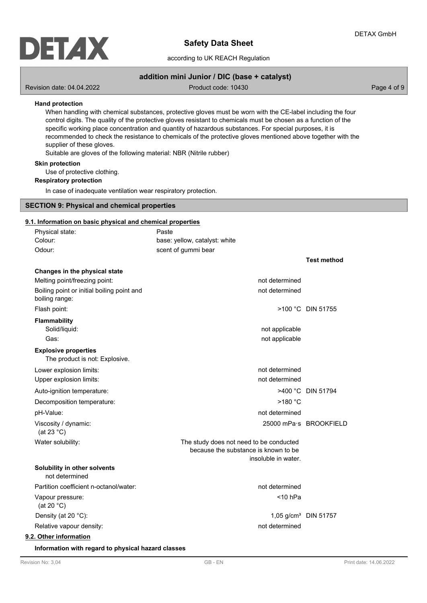

according to UK REACH Regulation

### **addition mini Junior / DIC (base + catalyst)**

Revision date: 04.04.2022 Product code: 10430 Page 4 of 9

### **Hand protection**

When handling with chemical substances, protective gloves must be worn with the CE-label including the four control digits. The quality of the protective gloves resistant to chemicals must be chosen as a function of the specific working place concentration and quantity of hazardous substances. For special purposes, it is recommended to check the resistance to chemicals of the protective gloves mentioned above together with the supplier of these gloves.

Suitable are gloves of the following material: NBR (Nitrile rubber)

### **Skin protection**

Use of protective clothing.

### **Respiratory protection**

In case of inadequate ventilation wear respiratory protection.

### **SECTION 9: Physical and chemical properties**

### **9.1. Information on basic physical and chemical properties**

| Physical state:                                               | Paste                                                                                                  |                                  |
|---------------------------------------------------------------|--------------------------------------------------------------------------------------------------------|----------------------------------|
| Colour:                                                       | base: yellow, catalyst: white                                                                          |                                  |
| Odour:                                                        | scent of gummi bear                                                                                    |                                  |
|                                                               |                                                                                                        | <b>Test method</b>               |
| Changes in the physical state                                 |                                                                                                        |                                  |
| Melting point/freezing point:                                 | not determined                                                                                         |                                  |
| Boiling point or initial boiling point and<br>boiling range:  | not determined                                                                                         |                                  |
| Flash point:                                                  |                                                                                                        | >100 °C DIN 51755                |
| Flammability<br>Solid/liquid:                                 | not applicable                                                                                         |                                  |
| Gas:                                                          | not applicable                                                                                         |                                  |
| <b>Explosive properties</b><br>The product is not: Explosive. |                                                                                                        |                                  |
| Lower explosion limits:                                       | not determined                                                                                         |                                  |
| Upper explosion limits:                                       | not determined                                                                                         |                                  |
| Auto-ignition temperature:                                    |                                                                                                        | >400 °C DIN 51794                |
| Decomposition temperature:                                    | $>180$ °C                                                                                              |                                  |
| pH-Value:                                                     | not determined                                                                                         |                                  |
| Viscosity / dynamic:<br>(at 23 $^{\circ}$ C)                  |                                                                                                        | 25000 mPa s BROOKFIELD           |
| Water solubility:                                             | The study does not need to be conducted<br>because the substance is known to be<br>insoluble in water. |                                  |
| Solubility in other solvents<br>not determined                |                                                                                                        |                                  |
| Partition coefficient n-octanol/water:                        | not determined                                                                                         |                                  |
| Vapour pressure:<br>(at 20 $°C$ )                             | $<$ 10 hPa                                                                                             |                                  |
| Density (at 20 °C):                                           |                                                                                                        | 1,05 g/cm <sup>3</sup> DIN 51757 |
| Relative vapour density:                                      | not determined                                                                                         |                                  |
| 9.2. Other information                                        |                                                                                                        |                                  |

#### **Information with regard to physical hazard classes**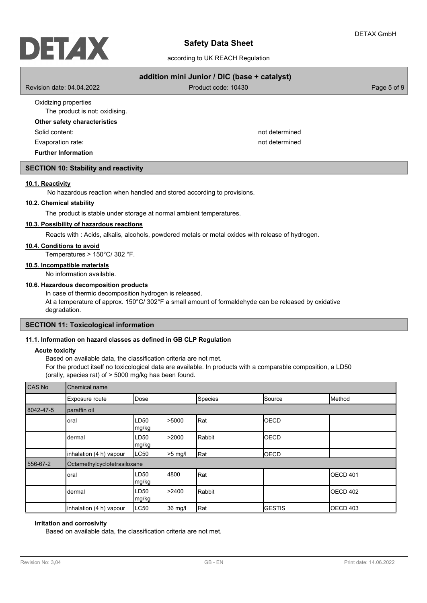

according to UK REACH Regulation

| addition mini Junior / DIC (base + catalyst)           |                     |             |  |  |
|--------------------------------------------------------|---------------------|-------------|--|--|
| Revision date: 04.04.2022                              | Product code: 10430 | Page 5 of 9 |  |  |
| Oxidizing properties<br>The product is not: oxidising. |                     |             |  |  |
| Other safety characteristics                           |                     |             |  |  |
| Solid content:                                         | not determined      |             |  |  |
| Evaporation rate:                                      | not determined      |             |  |  |
| <b>Further Information</b>                             |                     |             |  |  |

### **SECTION 10: Stability and reactivity**

### **10.1. Reactivity**

No hazardous reaction when handled and stored according to provisions.

### **10.2. Chemical stability**

The product is stable under storage at normal ambient temperatures.

### **10.3. Possibility of hazardous reactions**

Reacts with : Acids, alkalis, alcohols, powdered metals or metal oxides with release of hydrogen.

### **10.4. Conditions to avoid**

Temperatures > 150°C/ 302 °F.

#### **10.5. Incompatible materials**

No information available.

### **10.6. Hazardous decomposition products**

In case of thermic decomposition hydrogen is released. At a temperature of approx. 150°C/ 302°F a small amount of formaldehyde can be released by oxidative degradation.

### **SECTION 11: Toxicological information**

### **11.1. Information on hazard classes as defined in GB CLP Regulation**

#### **Acute toxicity**

Based on available data, the classification criteria are not met. For the product itself no toxicological data are available. In products with a comparable composition, a LD50 (orally, species rat) of > 5000 mg/kg has been found.

| <b>CAS No</b> | Chemical name                |               |           |         |               |                 |
|---------------|------------------------------|---------------|-----------|---------|---------------|-----------------|
|               | Exposure route               | Dose          |           | Species | Source        | Method          |
| 8042-47-5     | paraffin oil                 |               |           |         |               |                 |
|               | oral                         | LD50<br>mg/kg | >5000     | Rat     | <b>OECD</b>   |                 |
|               | dermal                       | LD50<br>mg/kg | >2000     | Rabbit  | <b>OECD</b>   |                 |
|               | inhalation (4 h) vapour      | <b>LC50</b>   | $>5$ mg/l | Rat     | <b>OECD</b>   |                 |
| 556-67-2      | Octamethylcyclotetrasiloxane |               |           |         |               |                 |
|               | oral                         | LD50<br>mg/kg | 4800      | Rat     |               | <b>OECD 401</b> |
|               | dermal                       | LD50<br>mg/kg | >2400     | Rabbit  |               | OECD 402        |
|               | inhalation (4 h) vapour      | LC50          | 36 mg/l   | Rat     | <b>GESTIS</b> | <b>OECD 403</b> |

### **Irritation and corrosivity**

Based on available data, the classification criteria are not met.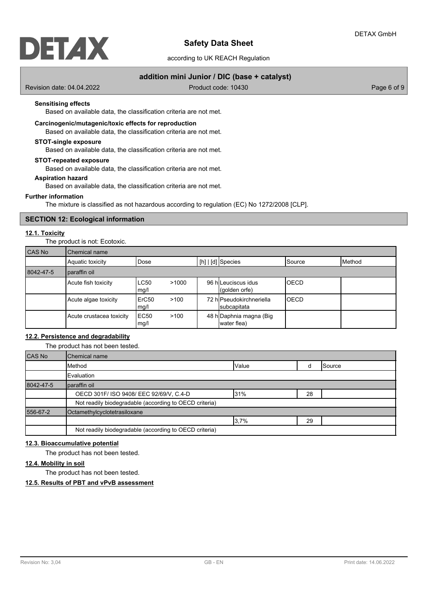

according to UK REACH Regulation

### **addition mini Junior / DIC (base + catalyst)**

Revision date: 04.04.2022 **Product code: 10430** Product code: 10430 Page 6 of 9

### **Sensitising effects**

Based on available data, the classification criteria are not met.

#### **Carcinogenic/mutagenic/toxic effects for reproduction**

Based on available data, the classification criteria are not met.

#### **STOT-single exposure**

Based on available data, the classification criteria are not met.

#### **STOT-repeated exposure**

Based on available data, the classification criteria are not met.

### **Aspiration hazard**

Based on available data, the classification criteria are not met.

#### **Further information**

The mixture is classified as not hazardous according to regulation (EC) No 1272/2008 [CLP].

### **SECTION 12: Ecological information**

#### **12.1. Toxicity**

The product is not: Ecotoxic.

| CAS No    | Chemical name            |               |       |                                         |                 |                 |
|-----------|--------------------------|---------------|-------|-----------------------------------------|-----------------|-----------------|
|           | Aquatic toxicity         | l Dose        |       | $[h]   [d]$ Species                     | <b>I</b> Source | <b>I</b> Method |
| 8042-47-5 | paraffin oil             |               |       |                                         |                 |                 |
|           | Acute fish toxicity      | LC50<br>mg/l  | >1000 | 96 hlLeuciscus idus<br>(golden orfe)    | IOECD           |                 |
|           | Acute algae toxicity     | ErC50<br>mg/l | >100  | 72 hlPseudokirchneriella<br>subcapitata | IOECD           |                 |
|           | Acute crustacea toxicity | EC50<br>mg/l  | >100  | 48 h Daphnia magna (Big<br>water flea)  |                 |                 |

### **12.2. Persistence and degradability**

The product has not been tested.

| CAS No    | Chemical name                                          |      |    |  |  |  |
|-----------|--------------------------------------------------------|------|----|--|--|--|
|           | Method<br><b>Value</b><br><b>I</b> Source              |      |    |  |  |  |
|           | Evaluation                                             |      |    |  |  |  |
| 8042-47-5 | paraffin oil                                           |      |    |  |  |  |
|           | OECD 301F/ ISO 9408/ EEC 92/69/V, C.4-D<br>31%<br>28   |      |    |  |  |  |
|           | Not readily biodegradable (according to OECD criteria) |      |    |  |  |  |
| 556-67-2  | Octamethylcyclotetrasiloxane                           |      |    |  |  |  |
|           |                                                        | 3.7% | 29 |  |  |  |
|           | Not readily biodegradable (according to OECD criteria) |      |    |  |  |  |

#### **12.3. Bioaccumulative potential**

The product has not been tested.

### **12.4. Mobility in soil**

The product has not been tested.

### **12.5. Results of PBT and vPvB assessment**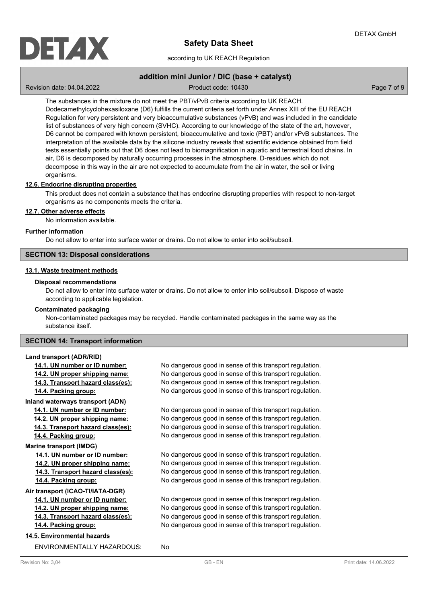

according to UK REACH Regulation

### **addition mini Junior / DIC (base + catalyst)**

Revision date: 04.04.2022 **Product code: 10430** Product code: 10430 Page 7 of 9

The substances in the mixture do not meet the PBT/vPvB criteria according to UK REACH. Dodecamethylcyclohexasiloxane (D6) fulfills the current criteria set forth under Annex XIII of the EU REACH Regulation for very persistent and very bioaccumulative substances (vPvB) and was included in the candidate list of substances of very high concern (SVHC). According to our knowledge of the state of the art, however, D6 cannot be compared with known persistent, bioaccumulative and toxic (PBT) and/or vPvB substances. The interpretation of the available data by the silicone industry reveals that scientific evidence obtained from field tests essentially points out that D6 does not lead to biomagnification in aquatic and terrestrial food chains. In air, D6 is decomposed by naturally occurring processes in the atmosphere. D-residues which do not decompose in this way in the air are not expected to accumulate from the air in water, the soil or living organisms.

### **12.6. Endocrine disrupting properties**

This product does not contain a substance that has endocrine disrupting properties with respect to non-target organisms as no components meets the criteria.

#### **12.7. Other adverse effects**

No information available.

### **Further information**

Do not allow to enter into surface water or drains. Do not allow to enter into soil/subsoil.

#### **SECTION 13: Disposal considerations**

#### **13.1. Waste treatment methods**

#### **Disposal recommendations**

Do not allow to enter into surface water or drains. Do not allow to enter into soil/subsoil. Dispose of waste according to applicable legislation.

#### **Contaminated packaging**

Non-contaminated packages may be recycled. Handle contaminated packages in the same way as the substance itself.

#### **SECTION 14: Transport information**

#### **Land transport (ADR/RID)**

### **Inland waterways transport (ADN)**

#### **Marine transport (IMDG)**

**Air transport (ICAO-TI/IATA-DGR)**

**14.5. Environmental hazards** ENVIRONMENTALLY HAZARDOUS: No

**14.1. UN number or ID number:** No dangerous good in sense of this transport regulation. **14.2. UN proper shipping name:** No dangerous good in sense of this transport regulation. **14.3. Transport hazard class(es):** No dangerous good in sense of this transport regulation. **14.4. Packing group:** No dangerous good in sense of this transport regulation.

**14.1. UN number or ID number:** No dangerous good in sense of this transport regulation. **14.2. UN proper shipping name:** No dangerous good in sense of this transport regulation. **14.3. Transport hazard class(es):** No dangerous good in sense of this transport regulation. **14.4. Packing group:** No dangerous good in sense of this transport regulation.

**14.1. UN number or ID number:** No dangerous good in sense of this transport regulation. **14.2. UN proper shipping name:** No dangerous good in sense of this transport regulation. **14.3. Transport hazard class(es):** No dangerous good in sense of this transport regulation. **14.4. Packing group:** No dangerous good in sense of this transport regulation.

**14.1. UN number or ID number:** No dangerous good in sense of this transport regulation. **14.2. UN proper shipping name:** No dangerous good in sense of this transport regulation. **14.3. Transport hazard class(es):** No dangerous good in sense of this transport regulation. **14.4. Packing group:** No dangerous good in sense of this transport regulation.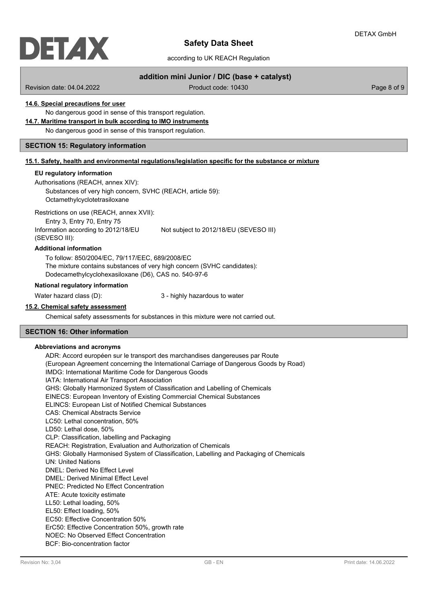

according to UK REACH Regulation

### **addition mini Junior / DIC (base + catalyst)**

Revision date: 04.04.2022 **Product code: 10430** Product code: 10430 Page 8 of 9

### **14.6. Special precautions for user**

No dangerous good in sense of this transport regulation.

**14.7. Maritime transport in bulk according to IMO instruments**

No dangerous good in sense of this transport regulation.

#### **SECTION 15: Regulatory information**

### **15.1. Safety, health and environmental regulations/legislation specific for the substance or mixture**

#### **EU regulatory information**

Authorisations (REACH, annex XIV): Substances of very high concern, SVHC (REACH, article 59): Octamethylcyclotetrasiloxane

Restrictions on use (REACH, annex XVII): Entry 3, Entry 70, Entry 75 Information according to 2012/18/EU

Not subject to 2012/18/EU (SEVESO III)

# **Additional information**

(SEVESO III):

To follow: 850/2004/EC, 79/117/EEC, 689/2008/EC The mixture contains substances of very high concern (SVHC candidates): Dodecamethylcyclohexasiloxane (D6), CAS no. 540-97-6

#### **National regulatory information**

Water hazard class (D): 3 - highly hazardous to water

### **15.2. Chemical safety assessment**

Chemical safety assessments for substances in this mixture were not carried out.

#### **SECTION 16: Other information**

#### **Abbreviations and acronyms**

ADR: Accord européen sur le transport des marchandises dangereuses par Route (European Agreement concerning the International Carriage of Dangerous Goods by Road) IMDG: International Maritime Code for Dangerous Goods IATA: International Air Transport Association GHS: Globally Harmonized System of Classification and Labelling of Chemicals EINECS: European Inventory of Existing Commercial Chemical Substances ELINCS: European List of Notified Chemical Substances CAS: Chemical Abstracts Service LC50: Lethal concentration, 50% LD50: Lethal dose, 50% CLP: Classification, labelling and Packaging REACH: Registration, Evaluation and Authorization of Chemicals GHS: Globally Harmonised System of Classification, Labelling and Packaging of Chemicals UN: United Nations DNEL: Derived No Effect Level DMEL: Derived Minimal Effect Level PNEC: Predicted No Effect Concentration ATE: Acute toxicity estimate LL50: Lethal loading, 50% EL50: Effect loading, 50% EC50: Effective Concentration 50% ErC50: Effective Concentration 50%, growth rate NOEC: No Observed Effect Concentration BCF: Bio-concentration factor